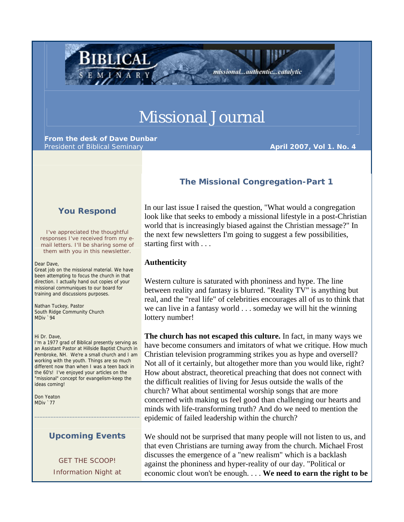# Missional Journal

**From the desk of Dave Dunbar** President of Biblical Seminary **April 2007, Vol 1. No. 4 April 2007, Vol 1. No. 4** 

BIBLICAL

# **The Missional Congregation-Part 1**

missional...authentic...catalytic

# **You Respond**

I've appreciated the thoughtful responses I've received from my email letters. I'll be sharing some of them with you in this newsletter.

Dear Dave,

Great job on the missional material. We have been attempting to focus the church in that direction. I actually hand out copies of your missional communiques to our board for training and discussions purposes.

Nathan Tuckey, Pastor South Ridge Community Church MDiv `94

Hi Dr. Dave,

I'm a 1977 grad of Biblical presently serving as an Assistant Pastor at Hillside Baptist Church in Pembroke, NH. We're a small church and I am working with the youth. Things are so much different now than when I was a teen back in the 60's! I've enjoyed your articles on the "missional" concept for evangelism-keep the ideas coming!

Don Yeaton MDiv `77

## **Upcoming Events**

\_\_\_\_\_\_\_\_\_\_\_\_\_\_\_\_\_\_\_\_\_\_\_\_\_\_\_\_\_\_\_\_\_\_\_\_\_\_\_

GET THE SCOOP! Information Night at In our last issue I raised the question, "What would a congregation look like that seeks to embody a missional lifestyle in a post-Christian world that is increasingly biased against the Christian message?" In the next few newsletters I'm going to suggest a few possibilities, starting first with . . .

### **Authenticity**

Western culture is saturated with phoniness and hype. The line between reality and fantasy is blurred. "Reality TV" is anything but real, and the "real life" of celebrities encourages all of us to think that we can live in a fantasy world . . . someday we will hit the winning lottery number!

**The church has not escaped this culture.** In fact, in many ways we have become consumers and imitators of what we critique. How much Christian television programming strikes you as hype and oversell? Not all of it certainly, but altogether more than you would like, right? How about abstract, theoretical preaching that does not connect with the difficult realities of living for Jesus outside the walls of the church? What about sentimental worship songs that are more concerned with making us feel good than challenging our hearts and minds with life-transforming truth? And do we need to mention the epidemic of failed leadership within the church?

We should not be surprised that many people will not listen to us, and that even Christians are turning away from the church. Michael Frost discusses the emergence of a "new realism" which is a backlash against the phoniness and hyper-reality of our day. "Political or economic clout won't be enough. . . . **We need to earn the right to be**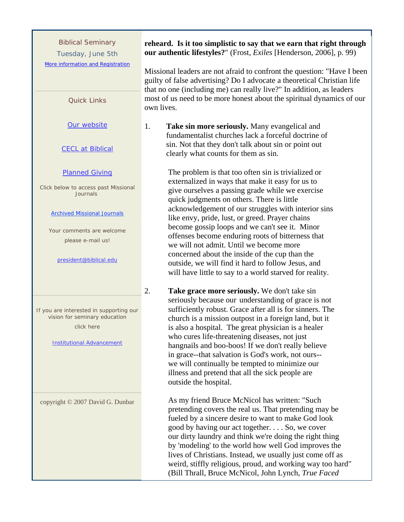Biblical Seminary Tuesday, June 5th More information and Registration

#### Quick Links

Our website

#### CECL at Biblical

#### Planned Giving

Click below to access past Missional Journals

#### Archived Missional Journals

Your comments are welcome please e-mail us!

#### president@biblical.edu

If you are interested in supporting our vision for seminary education click here

#### Institutional Advancement

copyright © 2007 David G. Dunbar

# **reheard. Is it too simplistic to say that we earn that right through our authentic lifestyles?**" (Frost, *Exiles* [Henderson, 2006], p. 99)

Missional leaders are not afraid to confront the question: "Have I been guilty of false advertising? Do I advocate a theoretical Christian life that no one (including me) can really live?" In addition, as leaders most of us need to be more honest about the spiritual dynamics of our own lives.

1. **Take sin more seriously.** Many evangelical and fundamentalist churches lack a forceful doctrine of sin. Not that they don't talk about sin or point out clearly what counts for them as sin.

> The problem is that too often sin is trivialized or externalized in ways that make it easy for us to give ourselves a passing grade while we exercise quick judgments on others. There is little acknowledgement of our struggles with interior sins like envy, pride, lust, or greed. Prayer chains become gossip loops and we can't see it. Minor offenses become enduring roots of bitterness that we will not admit. Until we become more concerned about the inside of the cup than the outside, we will find it hard to follow Jesus, and will have little to say to a world starved for reality.

2. **Take grace more seriously.** We don't take sin seriously because our understanding of grace is not sufficiently robust. Grace after all is for sinners. The church is a mission outpost in a foreign land, but it is also a hospital. The great physician is a healer who cures life-threatening diseases, not just hangnails and boo-boos! If we don't really believe in grace--that salvation is God's work, not ours- we will continually be tempted to minimize our illness and pretend that all the sick people are outside the hospital.

> As my friend Bruce McNicol has written: "Such pretending covers the real us. That pretending may be fueled by a sincere desire to want to make God look good by having our act together. . . . So, we cover our dirty laundry and think we're doing the right thing by 'modeling' to the world how well God improves the lives of Christians. Instead, we usually just come off as weird, stiffly religious, proud, and working way too hard" (Bill Thrall, Bruce McNicol, John Lynch, *True Faced*